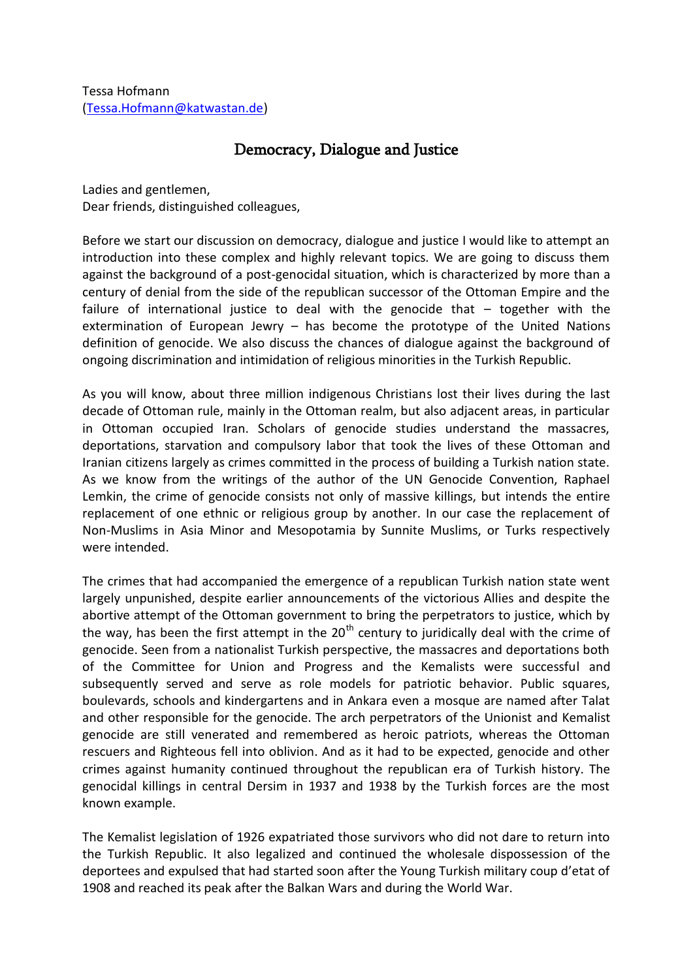## Democracy, Dialogue and Justice

Ladies and gentlemen, Dear friends, distinguished colleagues,

Before we start our discussion on democracy, dialogue and justice I would like to attempt an introduction into these complex and highly relevant topics. We are going to discuss them against the background of a post-genocidal situation, which is characterized by more than a century of denial from the side of the republican successor of the Ottoman Empire and the failure of international justice to deal with the genocide that – together with the extermination of European Jewry – has become the prototype of the United Nations definition of genocide. We also discuss the chances of dialogue against the background of ongoing discrimination and intimidation of religious minorities in the Turkish Republic.

As you will know, about three million indigenous Christians lost their lives during the last decade of Ottoman rule, mainly in the Ottoman realm, but also adjacent areas, in particular in Ottoman occupied Iran. Scholars of genocide studies understand the massacres, deportations, starvation and compulsory labor that took the lives of these Ottoman and Iranian citizens largely as crimes committed in the process of building a Turkish nation state. As we know from the writings of the author of the UN Genocide Convention, Raphael Lemkin, the crime of genocide consists not only of massive killings, but intends the entire replacement of one ethnic or religious group by another. In our case the replacement of Non-Muslims in Asia Minor and Mesopotamia by Sunnite Muslims, or Turks respectively were intended.

The crimes that had accompanied the emergence of a republican Turkish nation state went largely unpunished, despite earlier announcements of the victorious Allies and despite the abortive attempt of the Ottoman government to bring the perpetrators to justice, which by the way, has been the first attempt in the  $20<sup>th</sup>$  century to juridically deal with the crime of genocide. Seen from a nationalist Turkish perspective, the massacres and deportations both of the Committee for Union and Progress and the Kemalists were successful and subsequently served and serve as role models for patriotic behavior. Public squares, boulevards, schools and kindergartens and in Ankara even a mosque are named after Talat and other responsible for the genocide. The arch perpetrators of the Unionist and Kemalist genocide are still venerated and remembered as heroic patriots, whereas the Ottoman rescuers and Righteous fell into oblivion. And as it had to be expected, genocide and other crimes against humanity continued throughout the republican era of Turkish history. The genocidal killings in central Dersim in 1937 and 1938 by the Turkish forces are the most known example.

The Kemalist legislation of 1926 expatriated those survivors who did not dare to return into the Turkish Republic. It also legalized and continued the wholesale dispossession of the deportees and expulsed that had started soon after the Young Turkish military coup d'etat of 1908 and reached its peak after the Balkan Wars and during the World War.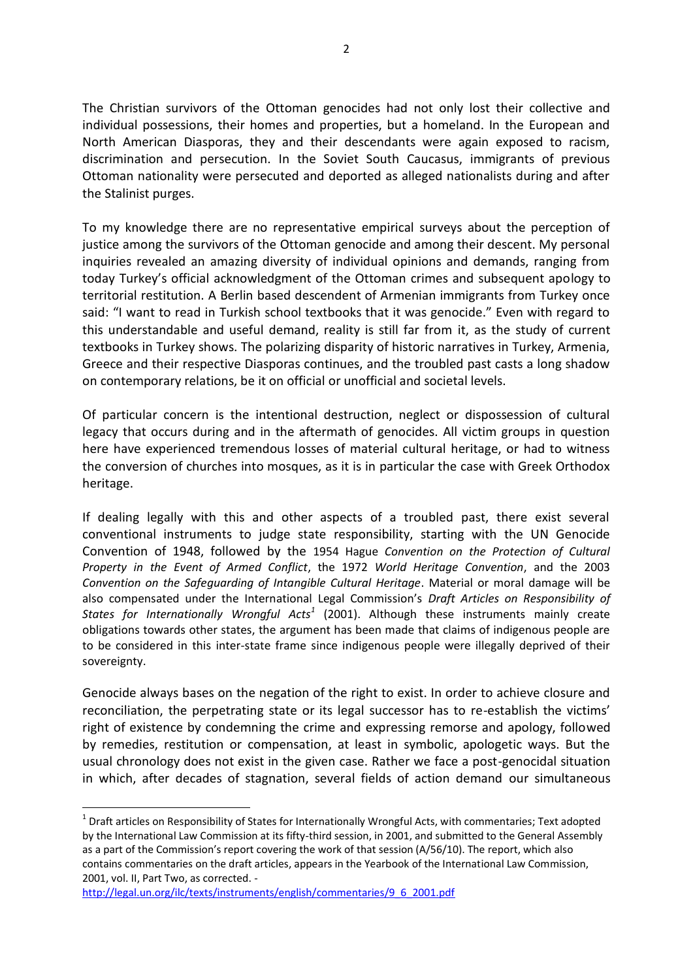The Christian survivors of the Ottoman genocides had not only lost their collective and individual possessions, their homes and properties, but a homeland. In the European and North American Diasporas, they and their descendants were again exposed to racism, discrimination and persecution. In the Soviet South Caucasus, immigrants of previous Ottoman nationality were persecuted and deported as alleged nationalists during and after the Stalinist purges.

To my knowledge there are no representative empirical surveys about the perception of justice among the survivors of the Ottoman genocide and among their descent. My personal inquiries revealed an amazing diversity of individual opinions and demands, ranging from today Turkey's official acknowledgment of the Ottoman crimes and subsequent apology to territorial restitution. A Berlin based descendent of Armenian immigrants from Turkey once said: "I want to read in Turkish school textbooks that it was genocide." Even with regard to this understandable and useful demand, reality is still far from it, as the study of current textbooks in Turkey shows. The polarizing disparity of historic narratives in Turkey, Armenia, Greece and their respective Diasporas continues, and the troubled past casts a long shadow on contemporary relations, be it on official or unofficial and societal levels.

Of particular concern is the intentional destruction, neglect or dispossession of cultural legacy that occurs during and in the aftermath of genocides. All victim groups in question here have experienced tremendous losses of material cultural heritage, or had to witness the conversion of churches into mosques, as it is in particular the case with Greek Orthodox heritage.

If dealing legally with this and other aspects of a troubled past, there exist several conventional instruments to judge state responsibility, starting with the UN Genocide Convention of 1948, followed by the 1954 Hague *Convention on the Protection of Cultural Property in the Event of Armed Conflict*, the 1972 *World Heritage Convention*, and the 2003 *Convention on the Safeguarding of Intangible Cultural Heritage*. Material or moral damage will be also compensated under the International Legal Commission's *Draft Articles on Responsibility of States for Internationally Wrongful Acts<sup>1</sup>* (2001). Although these instruments mainly create obligations towards other states, the argument has been made that claims of indigenous people are to be considered in this inter-state frame since indigenous people were illegally deprived of their sovereignty.

Genocide always bases on the negation of the right to exist. In order to achieve closure and reconciliation, the perpetrating state or its legal successor has to re-establish the victims' right of existence by condemning the crime and expressing remorse and apology, followed by remedies, restitution or compensation, at least in symbolic, apologetic ways. But the usual chronology does not exist in the given case. Rather we face a post-genocidal situation in which, after decades of stagnation, several fields of action demand our simultaneous

 $\overline{a}$ 

 $^1$  Draft articles on Responsibility of States for Internationally Wrongful Acts, with commentaries; Text adopted by the International Law Commission at its fifty-third session, in 2001, and submitted to the General Assembly as a part of the Commission's report covering the work of that session (A/56/10). The report, which also contains commentaries on the draft articles, appears in the Yearbook of the International Law Commission, 2001, vol. II, Part Two, as corrected. -

[http://legal.un.org/ilc/texts/instruments/english/commentaries/9\\_6\\_2001.pdf](http://legal.un.org/ilc/texts/instruments/english/commentaries/9_6_2001.pdf)